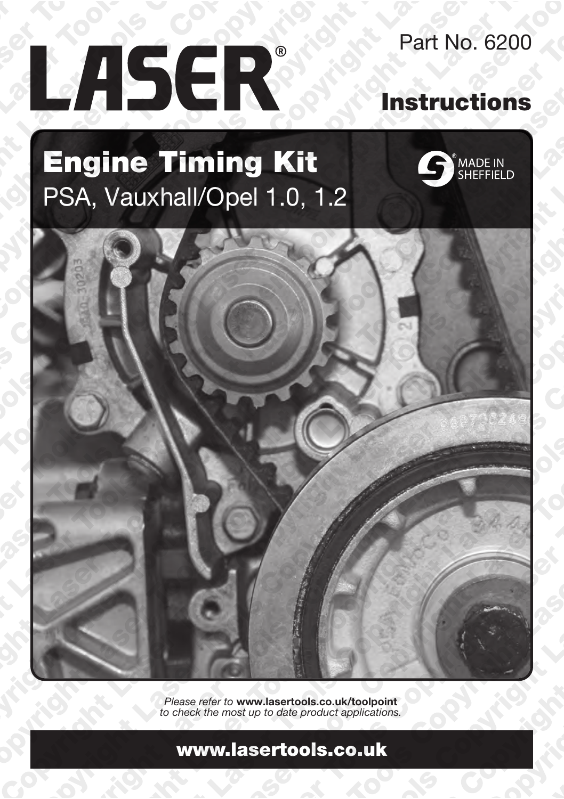# LASER®

Part No. 6200

## Instructions

## Engine Timing Kit PSA, Vauxhall/Opel 1.0, 1.2





Please refer to www.lasertools.co.uk/toolpoint to check the most up to date product applications.

#### www.lasertools.co.uk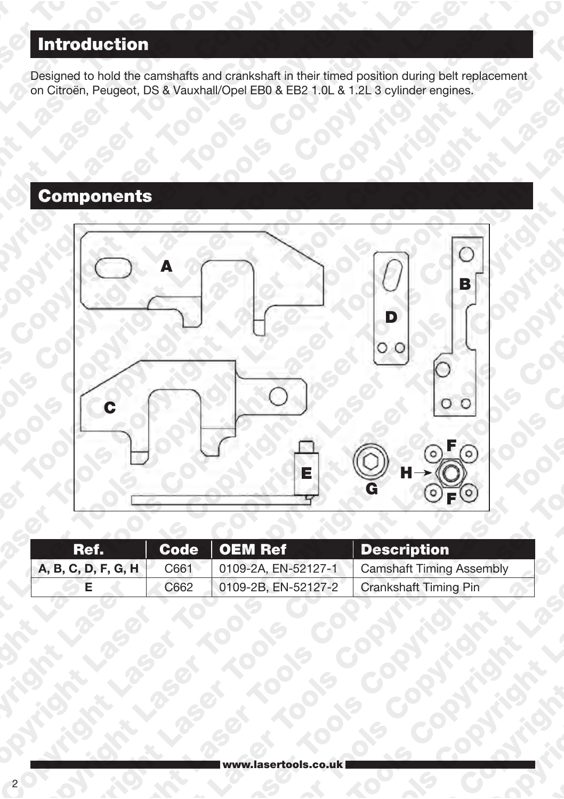### **Introduction**

Designed to hold the camshafts and crankshaft in their timed position during belt replacement on Citroën, Peugeot, DS & Vauxhall/Opel EB0 & EB2 1.0L & 1.2L 3 cylinder engines.

#### **Components**



| Ref.                |      | $\mathsf{Code} \parallel \mathsf{OEM}$ Ref | Description                                    |
|---------------------|------|--------------------------------------------|------------------------------------------------|
| A, B, C, D, F, G, H | C661 |                                            | 0109-2A, EN-52127-1   Camshaft Timing Assembly |
|                     | C662 | 0109-2B, EN-52127-2                        | Crankshaft Timing Pin                          |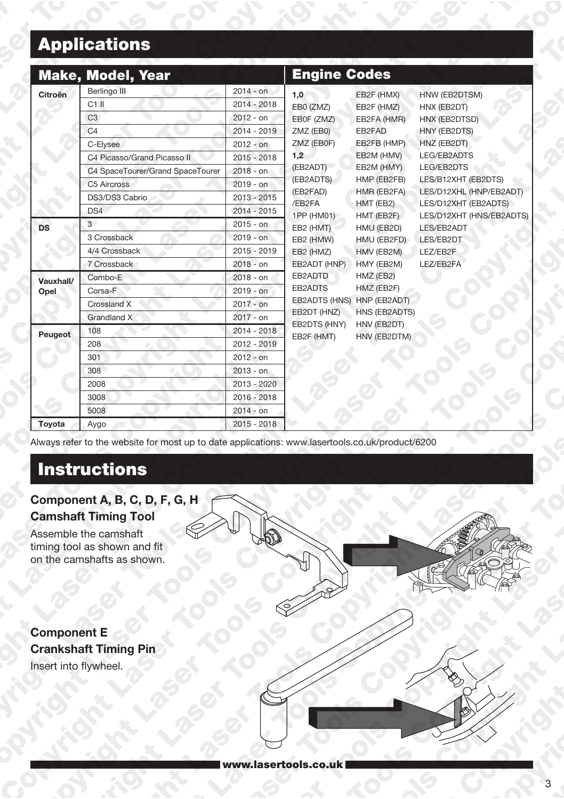## Applications

|                   | <b>Make, Model, Year</b>                                                                                                                                        |                                                                                                                                             | <b>Engine Codes</b>                                                                                                                                                                                                       |                                                                                                                                                                                                                                                                                                                         |                                                                                                                                                                                                                                                                            |
|-------------------|-----------------------------------------------------------------------------------------------------------------------------------------------------------------|---------------------------------------------------------------------------------------------------------------------------------------------|---------------------------------------------------------------------------------------------------------------------------------------------------------------------------------------------------------------------------|-------------------------------------------------------------------------------------------------------------------------------------------------------------------------------------------------------------------------------------------------------------------------------------------------------------------------|----------------------------------------------------------------------------------------------------------------------------------------------------------------------------------------------------------------------------------------------------------------------------|
| Citroën           | Berlingo III<br>$C1$ II<br>C3<br>C <sub>4</sub><br>C-Elysee<br>C4 Picasso/Grand Picasso II<br>C4 SpaceTourer/Grand SpaceTourer<br>C5 Aircross<br>DS3/DS3 Cabrio | $2014 - on$<br>$2014 - 2018$<br>$2012 - on$<br>$2014 - 2019$<br>$2012 - 9n$<br>$2015 - 2018$<br>$2018 - 0n$<br>$2019 - on$<br>$2013 - 2015$ | 1,0<br>EB0 (ZMZ)<br>EB0F (ZMZ)<br>ZMZ (EB0)<br>ZMZ (EB0F)<br>1,2<br>(EB2ADT)<br>(EB2ADTS)<br>(EB2FAD)<br>/EB2FA<br>1PP (HM01)<br>EB2 (HMT)<br>EB2 (HMW)<br>EB2 (HMZ)<br>EB2ADT (HNP)<br>EB2ADTD<br>EB2ADTS<br>EB2DT (HNZ) | EB2F (HMX)<br>EB2F (HMZ)<br>EB2FA (HMR)<br>EB2FAD<br>EB2FB (HMP)<br>EB2M (HMV)<br>EB2M (HMY)<br>HMP (EB2FB)<br>HMR (EB2FA)<br>HMT (EB2)<br>HMT (EB2F)<br>HMU (EB2D)<br>HMU (EB2FD)<br>HMV (EB2M)<br>HMY (EB2M)<br>HMZ (EB2)<br>HMZ (EB2F)<br>EB2ADTS (HNS) HNP (EB2ADT)<br>HNS (EB2ADTS)<br>HNV (EB2DT)<br>HNV (EB2DTM) | HNW (EB2DTSM)<br>HNX (EB2DT)<br>HNX (EB2DTSD)<br>HNY (EB2DTS)<br>HNZ (EB2DT)<br><b>LEG/EB2ADTS</b><br>LEG/EB2DTS<br>LES/B12XHT (EB2DTS)<br>LES/D12XHL (HNP/EB2ADT)<br>LES/D12XHT (EB2ADTS)<br>LES/D12XHT (HNS/EB2ADTS)<br>LES/EB2ADT<br>LES/EB2DT<br>LEZ/EB2F<br>LEZ/EB2FA |
| <b>DS</b>         | DS4<br>3 <sup>1</sup><br>3 Crossback<br>4/4 Crossback<br>7 Crossback                                                                                            | $2014 - 2015$<br>$2015 - 0n$<br>$2019 - on$<br>$2015 - 2019$<br>$2018 - on$                                                                 |                                                                                                                                                                                                                           |                                                                                                                                                                                                                                                                                                                         |                                                                                                                                                                                                                                                                            |
| Vauxhall/<br>Opel | Combo-E<br>Corsa-F<br>Crossland X<br>Grandland X                                                                                                                | $2018 - on$<br>$2019 - on$<br>$2017 - 9n$<br>$2017 - on$                                                                                    |                                                                                                                                                                                                                           |                                                                                                                                                                                                                                                                                                                         |                                                                                                                                                                                                                                                                            |
| Peugeot           | 108<br>208<br>301<br>308<br>2008<br>3008<br>5008                                                                                                                | $2014 - 2018$<br>2012 - 2019<br>2012 - on<br>$2013 - on$<br>$2013 - 2020$<br>2016 - 2018<br>$2014 - on$                                     | EB2DTS (HNY)<br>EB2F (HMT)                                                                                                                                                                                                |                                                                                                                                                                                                                                                                                                                         |                                                                                                                                                                                                                                                                            |
| Toyota            | Aygo                                                                                                                                                            | $2015 - 2018$                                                                                                                               |                                                                                                                                                                                                                           |                                                                                                                                                                                                                                                                                                                         |                                                                                                                                                                                                                                                                            |

Always refer to the website for most up to date applications: www.lasertools.co.uk/product/6200

#### **Instructions**

#### Component A, B, C, D, F, G, H Camshaft Timing Tool

Assemble the camshaft timing tool as shown and fit on the camshafts as shown.

Component E Crankshaft Timing Pin Insert into flywheel.



www.lasertools.co.uk